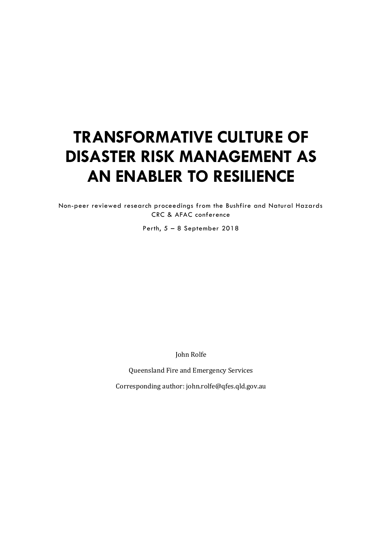# **TRANSFORMATIVE CULTURE OF DISASTER RISK MANAGEMENT AS AN ENABLER TO RESILIENCE**

Non-peer reviewed research proceedings from the Bushfire and Natural Hazards CRC & AFAC conference

Perth, 5 – 8 September 2018

John Rolfe

Queensland Fire and Emergency Services

Corresponding author: john.rolfe@qfes.qld.gov.au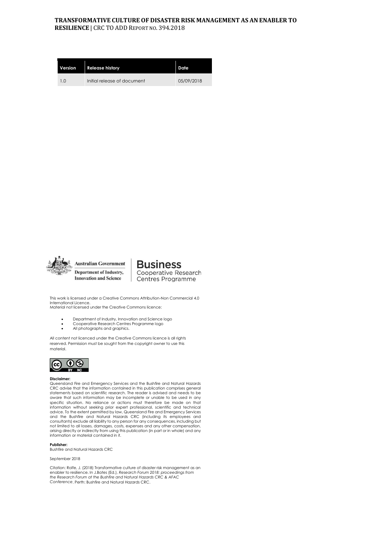#### **TRANSFORMATIVE CULTURE OF DISASTER RISK MANAGEMENT AS AN ENABLER TO RESILIENCE** | CRC TO ADD REPORT NO. 394.2018

| Version        | <b>Release history</b>      | Date       |
|----------------|-----------------------------|------------|
| 1 <sub>0</sub> | Initial release of document | 05/09/2018 |



**Australian Government Department of Industry, Innovation and Science** 

**Business** Cooperative Research Centres Programme

This work is licensed under a Creative Commons Attribution-Non Commercial 4.0 International Licence. Material not licensed under the Creative Commons licence:

- Department of Industry, Innovation and Science logo
- Cooperative Research Centres Programme logo
- All photographs and graphics.

All content not licenced under the Creative Commons licence is all rights reserved. Permission must be sought from the copyright owner to use this material.



#### **Disclaimer:**

Queensland Fire and Emergency Services and the Bushfire and Natural Hazards CRC advise that the information contained in this publication comprises general statements based on scientific research. The reader is advised and needs to be aware that such information may be incomplete or unable to be used in any specific situation. No reliance or actions must therefore be made on that<br>information without seeking prior expert professional, scientific and technical<br>advice. To the extent permitted by law, Queensland Fire and Emergenc consultants) exclude all liability to any person for any consequences, including but not limited to all losses, damages, costs, expenses and any other compensation, arising directly or indirectly from using this publication (in part or in whole) and any information or material contained in it.

**Publisher:** 

Bushfire and Natural Hazards CRC

September 2018

Citation: Rolfe, J. (2018) Transformative culture of disaster risk management as an enabler to resilience. In J.Bates (Ed.), *Research Forum 2018: proceedings from the Research Forum at the Bushfire and Natural Hazards CRC & AFAC Conference*. Perth: Bushfire and Natural Hazards CRC.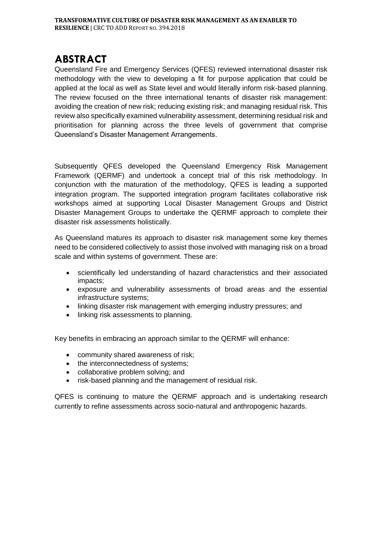#### **ABSTRACT**

Queensland Fire and Emergency Services (QFES) reviewed international disaster risk methodology with the view to developing a fit for purpose application that could be applied at the local as well as State level and would literally inform risk-based planning. The review focused on the three international tenants of disaster risk management: avoiding the creation of new risk; reducing existing risk; and managing residual risk. This review also specifically examined vulnerability assessment, determining residual risk and prioritisation for planning across the three levels of government that comprise Queensland's Disaster Management Arrangements.

Subsequently QFES developed the Queensland Emergency Risk Management Framework (QERMF) and undertook a concept trial of this risk methodology. In conjunction with the maturation of the methodology, QFES is leading a supported integration program. The supported integration program facilitates collaborative risk workshops aimed at supporting Local Disaster Management Groups and District Disaster Management Groups to undertake the QERMF approach to complete their disaster risk assessments holistically.

As Queensland matures its approach to disaster risk management some key themes need to be considered collectively to assist those involved with managing risk on a broad scale and within systems of government. These are:

- scientifically led understanding of hazard characteristics and their associated impacts;
- exposure and vulnerability assessments of broad areas and the essential infrastructure systems;
- linking disaster risk management with emerging industry pressures; and
- linking risk assessments to planning.

Key benefits in embracing an approach similar to the QERMF will enhance:

- community shared awareness of risk;
- the interconnectedness of systems;
- collaborative problem solving; and
- risk-based planning and the management of residual risk.

QFES is continuing to mature the QERMF approach and is undertaking research currently to refine assessments across socio-natural and anthropogenic hazards.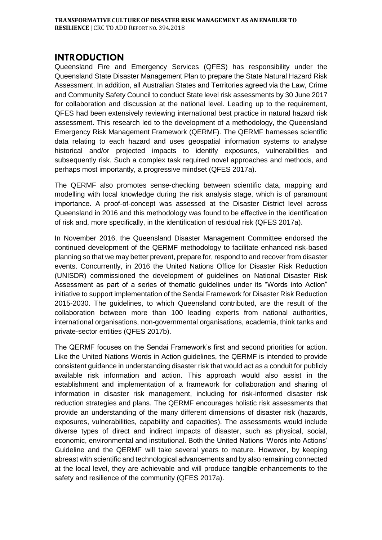#### **INTRODUCTION**

Queensland Fire and Emergency Services (QFES) has responsibility under the Queensland State Disaster Management Plan to prepare the State Natural Hazard Risk Assessment. In addition, all Australian States and Territories agreed via the Law, Crime and Community Safety Council to conduct State level risk assessments by 30 June 2017 for collaboration and discussion at the national level. Leading up to the requirement, QFES had been extensively reviewing international best practice in natural hazard risk assessment. This research led to the development of a methodology, the Queensland Emergency Risk Management Framework (QERMF). The QERMF harnesses scientific data relating to each hazard and uses geospatial information systems to analyse historical and/or projected impacts to identify exposures, vulnerabilities and subsequently risk. Such a complex task required novel approaches and methods, and perhaps most importantly, a progressive mindset (QFES 2017a).

The QERMF also promotes sense-checking between scientific data, mapping and modelling with local knowledge during the risk analysis stage, which is of paramount importance. A proof-of-concept was assessed at the Disaster District level across Queensland in 2016 and this methodology was found to be effective in the identification of risk and, more specifically, in the identification of residual risk (QFES 2017a).

In November 2016, the Queensland Disaster Management Committee endorsed the continued development of the QERMF methodology to facilitate enhanced risk-based planning so that we may better prevent, prepare for, respond to and recover from disaster events. Concurrently, in 2016 the United Nations Office for Disaster Risk Reduction (UNISDR) commissioned the development of guidelines on National Disaster Risk Assessment as part of a series of thematic guidelines under its "Words into Action" initiative to support implementation of the Sendai Framework for Disaster Risk Reduction 2015-2030. The guidelines, to which Queensland contributed, are the result of the collaboration between more than 100 leading experts from national authorities, international organisations, non-governmental organisations, academia, think tanks and private-sector entities (QFES 2017b).

The QERMF focuses on the Sendai Framework's first and second priorities for action. Like the United Nations Words in Action guidelines, the QERMF is intended to provide consistent guidance in understanding disaster risk that would act as a conduit for publicly available risk information and action. This approach would also assist in the establishment and implementation of a framework for collaboration and sharing of information in disaster risk management, including for risk-informed disaster risk reduction strategies and plans. The QERMF encourages holistic risk assessments that provide an understanding of the many different dimensions of disaster risk (hazards, exposures, vulnerabilities, capability and capacities). The assessments would include diverse types of direct and indirect impacts of disaster, such as physical, social, economic, environmental and institutional. Both the United Nations 'Words into Actions' Guideline and the QERMF will take several years to mature. However, by keeping abreast with scientific and technological advancements and by also remaining connected at the local level, they are achievable and will produce tangible enhancements to the safety and resilience of the community (QFES 2017a).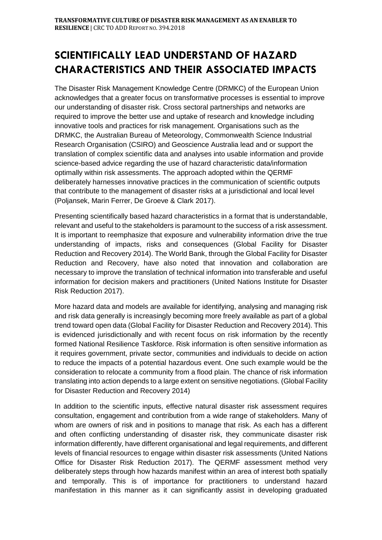# **SCIENTIFICALLY LEAD UNDERSTAND OF HAZARD CHARACTERISTICS AND THEIR ASSOCIATED IMPACTS**

The Disaster Risk Management Knowledge Centre (DRMKC) of the European Union acknowledges that a greater focus on transformative processes is essential to improve our understanding of disaster risk. Cross sectoral partnerships and networks are required to improve the better use and uptake of research and knowledge including innovative tools and practices for risk management. Organisations such as the DRMKC, the Australian Bureau of Meteorology, Commonwealth Science Industrial Research Organisation (CSIRO) and Geoscience Australia lead and or support the translation of complex scientific data and analyses into usable information and provide science-based advice regarding the use of hazard characteristic data/information optimally within risk assessments. The approach adopted within the QERMF deliberately harnesses innovative practices in the communication of scientific outputs that contribute to the management of disaster risks at a jurisdictional and local level (Poljansek, Marin Ferrer, De Groeve & Clark 2017).

Presenting scientifically based hazard characteristics in a format that is understandable, relevant and useful to the stakeholders is paramount to the success of a risk assessment. It is important to reemphasize that exposure and vulnerability information drive the true understanding of impacts, risks and consequences (Global Facility for Disaster Reduction and Recovery 2014). The World Bank, through the Global Facility for Disaster Reduction and Recovery, have also noted that innovation and collaboration are necessary to improve the translation of technical information into transferable and useful information for decision makers and practitioners (United Nations Institute for Disaster Risk Reduction 2017).

More hazard data and models are available for identifying, analysing and managing risk and risk data generally is increasingly becoming more freely available as part of a global trend toward open data (Global Facility for Disaster Reduction and Recovery 2014). This is evidenced jurisdictionally and with recent focus on risk information by the recently formed National Resilience Taskforce. Risk information is often sensitive information as it requires government, private sector, communities and individuals to decide on action to reduce the impacts of a potential hazardous event. One such example would be the consideration to relocate a community from a flood plain. The chance of risk information translating into action depends to a large extent on sensitive negotiations. (Global Facility for Disaster Reduction and Recovery 2014)

In addition to the scientific inputs, effective natural disaster risk assessment requires consultation, engagement and contribution from a wide range of stakeholders. Many of whom are owners of risk and in positions to manage that risk. As each has a different and often conflicting understanding of disaster risk, they communicate disaster risk information differently, have different organisational and legal requirements, and different levels of financial resources to engage within disaster risk assessments (United Nations Office for Disaster Risk Reduction 2017). The QERMF assessment method very deliberately steps through how hazards manifest within an area of interest both spatially and temporally. This is of importance for practitioners to understand hazard manifestation in this manner as it can significantly assist in developing graduated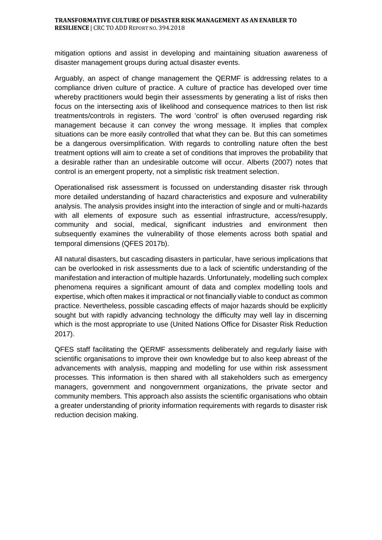mitigation options and assist in developing and maintaining situation awareness of disaster management groups during actual disaster events.

Arguably, an aspect of change management the QERMF is addressing relates to a compliance driven culture of practice. A culture of practice has developed over time whereby practitioners would begin their assessments by generating a list of risks then focus on the intersecting axis of likelihood and consequence matrices to then list risk treatments/controls in registers. The word 'control' is often overused regarding risk management because it can convey the wrong message. It implies that complex situations can be more easily controlled that what they can be. But this can sometimes be a dangerous oversimplification. With regards to controlling nature often the best treatment options will aim to create a set of conditions that improves the probability that a desirable rather than an undesirable outcome will occur. Alberts (2007) notes that control is an emergent property, not a simplistic risk treatment selection.

Operationalised risk assessment is focussed on understanding disaster risk through more detailed understanding of hazard characteristics and exposure and vulnerability analysis. The analysis provides insight into the interaction of single and or multi-hazards with all elements of exposure such as essential infrastructure, access/resupply, community and social, medical, significant industries and environment then subsequently examines the vulnerability of those elements across both spatial and temporal dimensions (QFES 2017b).

All natural disasters, but cascading disasters in particular, have serious implications that can be overlooked in risk assessments due to a lack of scientific understanding of the manifestation and interaction of multiple hazards. Unfortunately, modelling such complex phenomena requires a significant amount of data and complex modelling tools and expertise, which often makes it impractical or not financially viable to conduct as common practice. Nevertheless, possible cascading effects of major hazards should be explicitly sought but with rapidly advancing technology the difficulty may well lay in discerning which is the most appropriate to use (United Nations Office for Disaster Risk Reduction 2017).

QFES staff facilitating the QERMF assessments deliberately and regularly liaise with scientific organisations to improve their own knowledge but to also keep abreast of the advancements with analysis, mapping and modelling for use within risk assessment processes. This information is then shared with all stakeholders such as emergency managers, government and nongovernment organizations, the private sector and community members. This approach also assists the scientific organisations who obtain a greater understanding of priority information requirements with regards to disaster risk reduction decision making.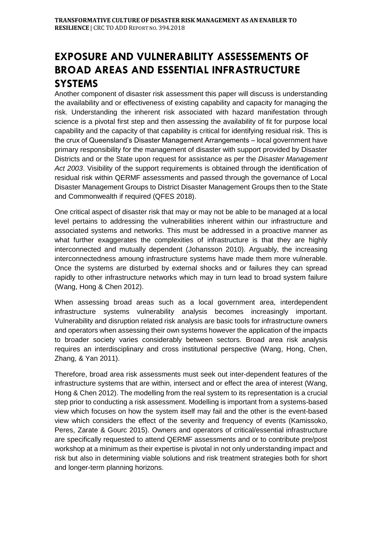# **EXPOSURE AND VULNERABILITY ASSESSEMENTS OF BROAD AREAS AND ESSENTIAL INFRASTRUCTURE SYSTEMS**

Another component of disaster risk assessment this paper will discuss is understanding the availability and or effectiveness of existing capability and capacity for managing the risk. Understanding the inherent risk associated with hazard manifestation through science is a pivotal first step and then assessing the availability of fit for purpose local capability and the capacity of that capability is critical for identifying residual risk. This is the crux of Queensland's Disaster Management Arrangements – local government have primary responsibility for the management of disaster with support provided by Disaster Districts and or the State upon request for assistance as per the *Disaster Management Act 2003*. Visibility of the support requirements is obtained through the identification of residual risk within QERMF assessments and passed through the governance of Local Disaster Management Groups to District Disaster Management Groups then to the State and Commonwealth if required (QFES 2018).

One critical aspect of disaster risk that may or may not be able to be managed at a local level pertains to addressing the vulnerabilities inherent within our infrastructure and associated systems and networks. This must be addressed in a proactive manner as what further exaggerates the complexities of infrastructure is that they are highly interconnected and mutually dependent (Johansson 2010). Arguably, the increasing interconnectedness amoung infrastructure systems have made them more vulnerable. Once the systems are disturbed by external shocks and or failures they can spread rapidly to other infrastructure networks which may in turn lead to broad system failure (Wang, Hong & Chen 2012).

When assessing broad areas such as a local government area, interdependent infrastructure systems vulnerability analysis becomes increasingly important. Vulnerability and disruption related risk analysis are basic tools for infrastructure owners and operators when assessing their own systems however the application of the impacts to broader society varies considerably between sectors. Broad area risk analysis requires an interdisciplinary and cross institutional perspective (Wang, Hong, Chen, Zhang, & Yan 2011).

Therefore, broad area risk assessments must seek out inter-dependent features of the infrastructure systems that are within, intersect and or effect the area of interest (Wang, Hong & Chen 2012). The modelling from the real system to its representation is a crucial step prior to conducting a risk assessment. Modelling is important from a systems-based view which focuses on how the system itself may fail and the other is the event-based view which considers the effect of the severity and frequency of events (Kamissoko, Peres, Zarate & Gourc 2015). Owners and operators of critical/essential infrastructure are specifically requested to attend QERMF assessments and or to contribute pre/post workshop at a minimum as their expertise is pivotal in not only understanding impact and risk but also in determining viable solutions and risk treatment strategies both for short and longer-term planning horizons.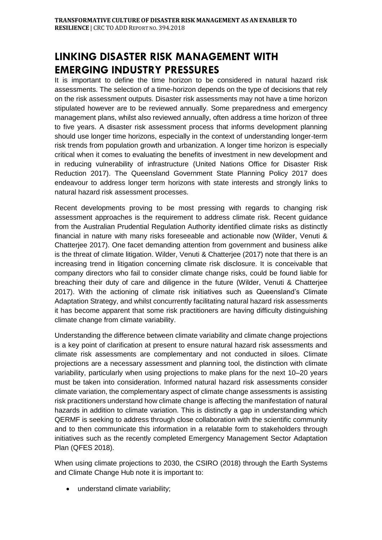# **LINKING DISASTER RISK MANAGEMENT WITH EMERGING INDUSTRY PRESSURES**

It is important to define the time horizon to be considered in natural hazard risk assessments. The selection of a time-horizon depends on the type of decisions that rely on the risk assessment outputs. Disaster risk assessments may not have a time horizon stipulated however are to be reviewed annually. Some preparedness and emergency management plans, whilst also reviewed annually, often address a time horizon of three to five years. A disaster risk assessment process that informs development planning should use longer time horizons, especially in the context of understanding longer-term risk trends from population growth and urbanization. A longer time horizon is especially critical when it comes to evaluating the benefits of investment in new development and in reducing vulnerability of infrastructure (United Nations Office for Disaster Risk Reduction 2017). The Queensland Government State Planning Policy 2017 does endeavour to address longer term horizons with state interests and strongly links to natural hazard risk assessment processes.

Recent developments proving to be most pressing with regards to changing risk assessment approaches is the requirement to address climate risk. Recent guidance from the Australian Prudential Regulation Authority identified climate risks as distinctly financial in nature with many risks foreseeable and actionable now (Wilder, Venuti & Chatterjee 2017). One facet demanding attention from government and business alike is the threat of climate litigation. Wilder, Venuti & Chatterjee (2017) note that there is an increasing trend in litigation concerning climate risk disclosure. It is conceivable that company directors who fail to consider climate change risks, could be found liable for breaching their duty of care and diligence in the future (Wilder, Venuti & Chatterjee 2017). With the actioning of climate risk initiatives such as Queensland's Climate Adaptation Strategy, and whilst concurrently facilitating natural hazard risk assessments it has become apparent that some risk practitioners are having difficulty distinguishing climate change from climate variability.

Understanding the difference between climate variability and climate change projections is a key point of clarification at present to ensure natural hazard risk assessments and climate risk assessments are complementary and not conducted in siloes. Climate projections are a necessary assessment and planning tool, the distinction with climate variability, particularly when using projections to make plans for the next 10–20 years must be taken into consideration. Informed natural hazard risk assessments consider climate variation, the complementary aspect of climate change assessments is assisting risk practitioners understand how climate change is affecting the manifestation of natural hazards in addition to climate variation. This is distinctly a gap in understanding which QERMF is seeking to address through close collaboration with the scientific community and to then communicate this information in a relatable form to stakeholders through initiatives such as the recently completed Emergency Management Sector Adaptation Plan (QFES 2018).

When using climate projections to 2030, the CSIRO (2018) through the Earth Systems and Climate Change Hub note it is important to:

• understand climate variability;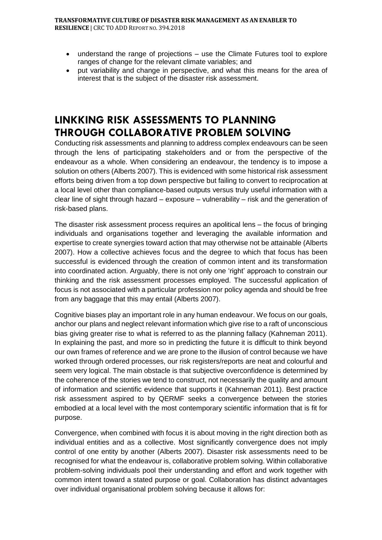- understand the range of projections use the Climate Futures tool to explore ranges of change for the relevant climate variables; and
- put variability and change in perspective, and what this means for the area of interest that is the subject of the disaster risk assessment.

### **LINKKING RISK ASSESSMENTS TO PLANNING THROUGH COLLABORATIVE PROBLEM SOLVING**

Conducting risk assessments and planning to address complex endeavours can be seen through the lens of participating stakeholders and or from the perspective of the endeavour as a whole. When considering an endeavour, the tendency is to impose a solution on others (Alberts 2007). This is evidenced with some historical risk assessment efforts being driven from a top down perspective but failing to convert to reciprocation at a local level other than compliance-based outputs versus truly useful information with a clear line of sight through hazard – exposure – vulnerability – risk and the generation of risk-based plans.

The disaster risk assessment process requires an apolitical lens – the focus of bringing individuals and organisations together and leveraging the available information and expertise to create synergies toward action that may otherwise not be attainable (Alberts 2007). How a collective achieves focus and the degree to which that focus has been successful is evidenced through the creation of common intent and its transformation into coordinated action. Arguably, there is not only one 'right' approach to constrain our thinking and the risk assessment processes employed. The successful application of focus is not associated with a particular profession nor policy agenda and should be free from any baggage that this may entail (Alberts 2007).

Cognitive biases play an important role in any human endeavour. We focus on our goals, anchor our plans and neglect relevant information which give rise to a raft of unconscious bias giving greater rise to what is referred to as the planning fallacy (Kahneman 2011). In explaining the past, and more so in predicting the future it is difficult to think beyond our own frames of reference and we are prone to the illusion of control because we have worked through ordered processes, our risk registers/reports are neat and colourful and seem very logical. The main obstacle is that subjective overconfidence is determined by the coherence of the stories we tend to construct, not necessarily the quality and amount of information and scientific evidence that supports it (Kahneman 2011). Best practice risk assessment aspired to by QERMF seeks a convergence between the stories embodied at a local level with the most contemporary scientific information that is fit for purpose.

Convergence, when combined with focus it is about moving in the right direction both as individual entities and as a collective. Most significantly convergence does not imply control of one entity by another (Alberts 2007). Disaster risk assessments need to be recognised for what the endeavour is, collaborative problem solving. Within collaborative problem-solving individuals pool their understanding and effort and work together with common intent toward a stated purpose or goal. Collaboration has distinct advantages over individual organisational problem solving because it allows for: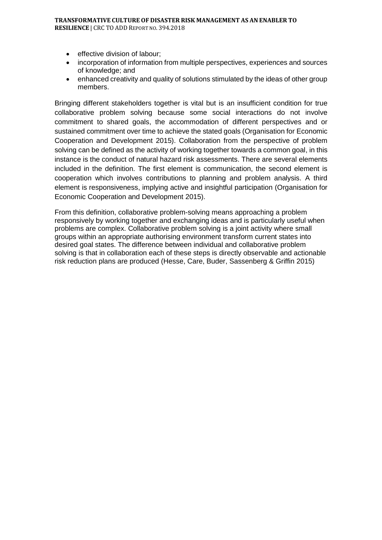#### **TRANSFORMATIVE CULTURE OF DISASTER RISK MANAGEMENT AS AN ENABLER TO RESILIENCE** | CRC TO ADD REPORT NO. 394.2018

- effective division of labour:
- incorporation of information from multiple perspectives, experiences and sources of knowledge; and
- enhanced creativity and quality of solutions stimulated by the ideas of other group members.

Bringing different stakeholders together is vital but is an insufficient condition for true collaborative problem solving because some social interactions do not involve commitment to shared goals, the accommodation of different perspectives and or sustained commitment over time to achieve the stated goals (Organisation for Economic Cooperation and Development 2015). Collaboration from the perspective of problem solving can be defined as the activity of working together towards a common goal, in this instance is the conduct of natural hazard risk assessments. There are several elements included in the definition. The first element is communication, the second element is cooperation which involves contributions to planning and problem analysis. A third element is responsiveness, implying active and insightful participation (Organisation for Economic Cooperation and Development 2015).

From this definition, collaborative problem-solving means approaching a problem responsively by working together and exchanging ideas and is particularly useful when problems are complex. Collaborative problem solving is a joint activity where small groups within an appropriate authorising environment transform current states into desired goal states. The difference between individual and collaborative problem solving is that in collaboration each of these steps is directly observable and actionable risk reduction plans are produced (Hesse, Care, Buder, Sassenberg & Griffin 2015)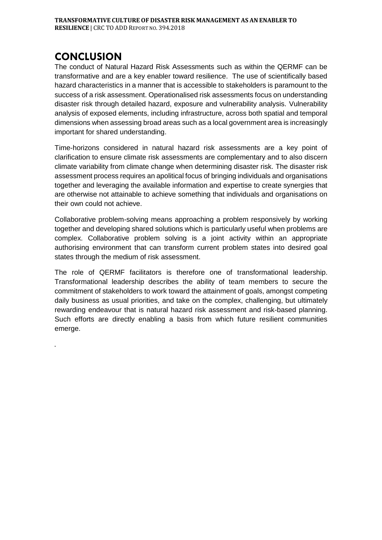### **CONCLUSION**

.

The conduct of Natural Hazard Risk Assessments such as within the QERMF can be transformative and are a key enabler toward resilience. The use of scientifically based hazard characteristics in a manner that is accessible to stakeholders is paramount to the success of a risk assessment. Operationalised risk assessments focus on understanding disaster risk through detailed hazard, exposure and vulnerability analysis. Vulnerability analysis of exposed elements, including infrastructure, across both spatial and temporal dimensions when assessing broad areas such as a local government area is increasingly important for shared understanding.

Time-horizons considered in natural hazard risk assessments are a key point of clarification to ensure climate risk assessments are complementary and to also discern climate variability from climate change when determining disaster risk. The disaster risk assessment process requires an apolitical focus of bringing individuals and organisations together and leveraging the available information and expertise to create synergies that are otherwise not attainable to achieve something that individuals and organisations on their own could not achieve.

Collaborative problem-solving means approaching a problem responsively by working together and developing shared solutions which is particularly useful when problems are complex. Collaborative problem solving is a joint activity within an appropriate authorising environment that can transform current problem states into desired goal states through the medium of risk assessment.

The role of QERMF facilitators is therefore one of transformational leadership. Transformational leadership describes the ability of team members to secure the commitment of stakeholders to work toward the attainment of goals, amongst competing daily business as usual priorities, and take on the complex, challenging, but ultimately rewarding endeavour that is natural hazard risk assessment and risk-based planning. Such efforts are directly enabling a basis from which future resilient communities emerge.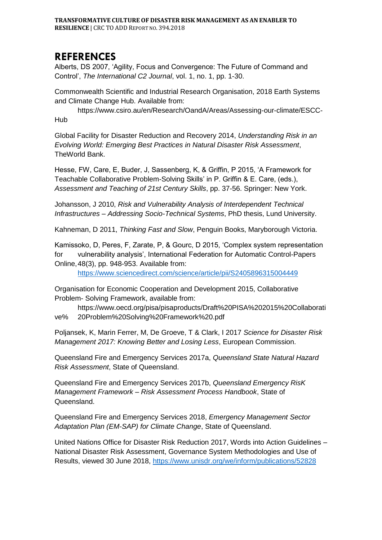#### **REFERENCES**

Alberts, DS 2007, 'Agility, Focus and Convergence: The Future of Command and Control', *The International C2 Journal*, vol. 1, no. 1, pp. 1-30.

Commonwealth Scientific and Industrial Research Organisation, 2018 Earth Systems and Climate Change Hub. Available from:

https://www.csiro.au/en/Research/OandA/Areas/Assessing-our-climate/ESCC-Hub

Global Facility for Disaster Reduction and Recovery 2014, *Understanding Risk in an Evolving World: Emerging Best Practices in Natural Disaster Risk Assessment*, TheWorld Bank.

Hesse, FW, Care, E, Buder, J, Sassenberg, K, & Griffin, P 2015, 'A Framework for Teachable Collaborative Problem-Solving Skills' in P. Griffin & E. Care, (eds.), *Assessment and Teaching of 21st Century Skills*, pp. 37-56. Springer: New York.

Johansson, J 2010, *Risk and Vulnerability Analysis of Interdependent Technical Infrastructures – Addressing Socio-Technical Systems*, PhD thesis, Lund University.

Kahneman, D 2011, *Thinking Fast and Slow*, Penguin Books, Maryborough Victoria.

Kamissoko, D, Peres, F, Zarate, P, & Gourc, D 2015, 'Complex system representation for vulnerability analysis', International Federation for Automatic Control-Papers Online,48(3), pp. 948-953. Available from:

<https://www.sciencedirect.com/science/article/pii/S2405896315004449>

Organisation for Economic Cooperation and Development 2015, Collaborative Problem- Solving Framework, available from:

https://www.oecd.org/pisa/pisaproducts/Draft%20PISA%202015%20Collaborati ve% 20Problem%20Solving%20Framework%20.pdf

Poljansek, K, Marin Ferrer, M, De Groeve, T & Clark, I 2017 *Science for Disaster Risk Management 2017: Knowing Better and Losing Less*, European Commission.

Queensland Fire and Emergency Services 2017a, *Queensland State Natural Hazard Risk Assessment*, State of Queensland.

Queensland Fire and Emergency Services 2017b, *Queensland Emergency RisK Management Framework – Risk Assessment Process Handbook*, State of Queensland.

Queensland Fire and Emergency Services 2018, *Emergency Management Sector Adaptation Plan (EM-SAP) for Climate Change*, State of Queensland.

United Nations Office for Disaster Risk Reduction 2017, Words into Action Guidelines – National Disaster Risk Assessment, Governance System Methodologies and Use of Results, viewed 30 June 2018,<https://www.unisdr.org/we/inform/publications/52828>